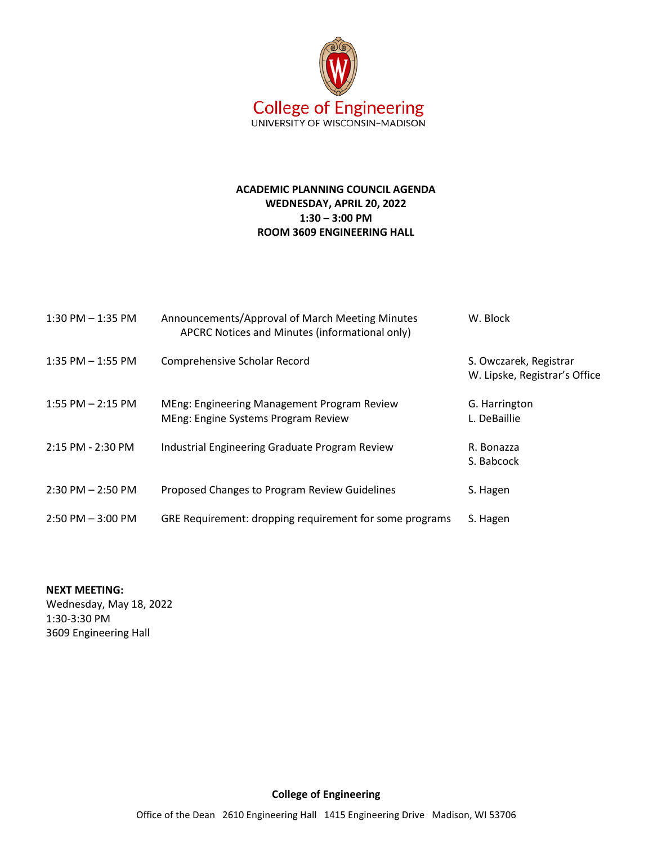

## **ACADEMIC PLANNING COUNCIL AGENDA WEDNESDAY, APRIL 20, 2022 1:30 – 3:00 PM ROOM 3609 ENGINEERING HALL**

| $1:30$ PM $-1:35$ PM  | Announcements/Approval of March Meeting Minutes<br>APCRC Notices and Minutes (informational only) | W. Block                                                |
|-----------------------|---------------------------------------------------------------------------------------------------|---------------------------------------------------------|
| $1:35$ PM $-1:55$ PM  | Comprehensive Scholar Record                                                                      | S. Owczarek, Registrar<br>W. Lipske, Registrar's Office |
| $1:55$ PM $- 2:15$ PM | MEng: Engineering Management Program Review<br>MEng: Engine Systems Program Review                | G. Harrington<br>L. DeBaillie                           |
| 2:15 PM - 2:30 PM     | Industrial Engineering Graduate Program Review                                                    | R. Bonazza<br>S. Babcock                                |
| $2:30$ PM $- 2:50$ PM | Proposed Changes to Program Review Guidelines                                                     | S. Hagen                                                |
| $2:50$ PM $-3:00$ PM  | GRE Requirement: dropping requirement for some programs                                           | S. Hagen                                                |

**NEXT MEETING:** Wednesday, May 18, 2022 1:30-3:30 PM 3609 Engineering Hall

**College of Engineering**

Office of the Dean 2610 Engineering Hall 1415 Engineering Drive Madison, WI 53706